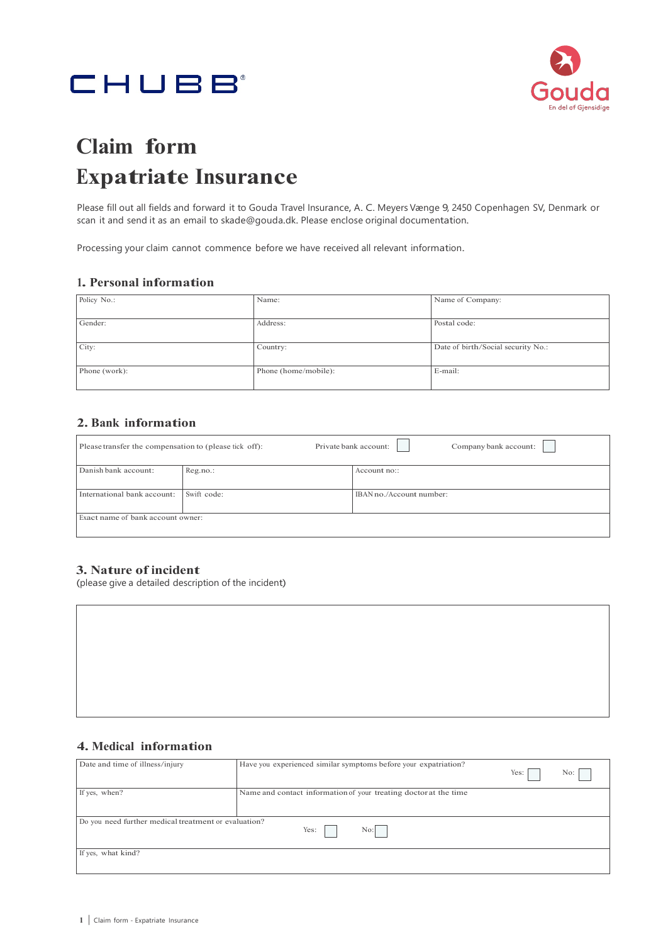# CHUBB



## **Claim form Expatriate Insurance**

Please fill out all fields and forward it to Gouda Travel Insurance, A. C. Meyers Vænge 9, 2450 Copenhagen SV, Denmark or scan it and send it as an email to [skade@gouda.dk.](mailto:skade@gouda.dk) Please enclose original documentation.

Processing your claim cannot commence before we have received all relevant information.

#### **1. Personal information**

| Policy No.:   | Name:                | Name of Company:                   |
|---------------|----------------------|------------------------------------|
|               |                      |                                    |
|               |                      |                                    |
|               |                      |                                    |
| Gender:       | Address:             | Postal code:                       |
|               |                      |                                    |
|               |                      |                                    |
|               |                      |                                    |
| City:         | Country:             | Date of birth/Social security No.: |
|               |                      |                                    |
|               |                      |                                    |
| Phone (work): | Phone (home/mobile): | E-mail:                            |
|               |                      |                                    |
|               |                      |                                    |
|               |                      |                                    |

#### **2. Bank information**

| Please transfer the compensation to (please tick off): |             | Private bank account:<br>Company bank account: |
|--------------------------------------------------------|-------------|------------------------------------------------|
| Danish bank account:                                   | Reg.no.:    | Account no::                                   |
| International bank account:                            | Swift code: | IBAN no./Account number:                       |
| Exact name of bank account owner:                      |             |                                                |

#### **3. Nature of incident**

(please give a detailed description of the incident)

#### **4. Medical information**

| Date and time of illness/injury                      | Have you experienced similar symptoms before your expatriation?  | Yes: | No: |
|------------------------------------------------------|------------------------------------------------------------------|------|-----|
| If yes, when?                                        | Name and contact information of your treating doctor at the time |      |     |
| Do you need further medical treatment or evaluation? | Yes:<br>No:                                                      |      |     |
| If yes, what kind?                                   |                                                                  |      |     |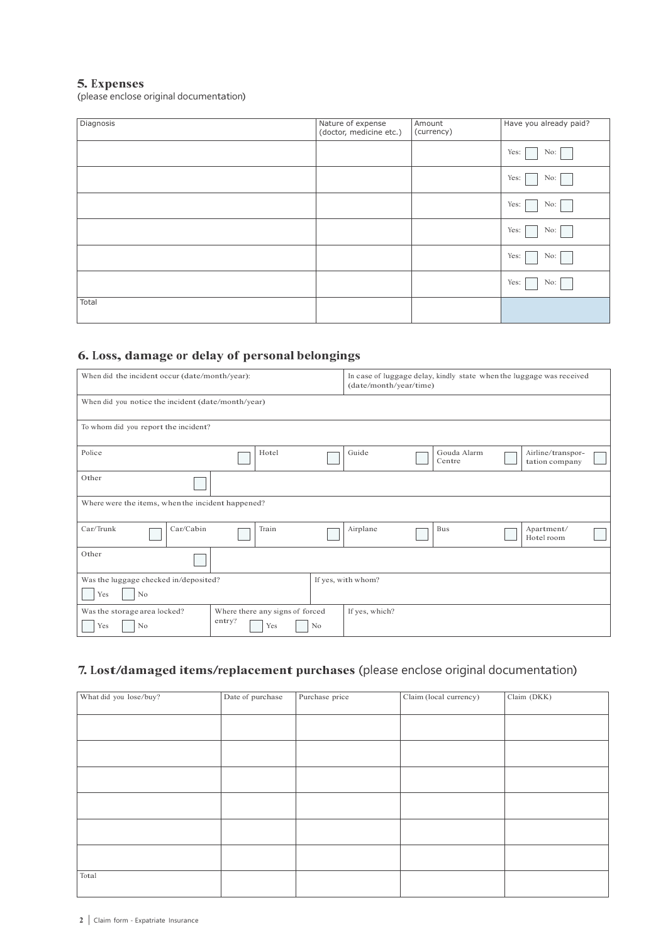#### **5. Expenses**

(please enclose original documentation)

| Diagnosis | Nature of expense<br>(doctor, medicine etc.) | Amount<br>(currency) | Have you already paid? |
|-----------|----------------------------------------------|----------------------|------------------------|
|           |                                              |                      | Yes:<br>No:            |
|           |                                              |                      | Yes:<br>No:            |
|           |                                              |                      | Yes:<br>No:            |
|           |                                              |                      | Yes:<br>No:            |
|           |                                              |                      | Yes:<br>No:            |
|           |                                              |                      | Yes:<br>No:            |
| Total     |                                              |                      |                        |

## **6. Loss, damage or delay of personal belongings**

| When did the incident occur (date/month/year):     |                                 | In case of luggage delay, kindly state when the luggage was received<br>(date/month/year/time) |                    |  |                       |                                     |  |
|----------------------------------------------------|---------------------------------|------------------------------------------------------------------------------------------------|--------------------|--|-----------------------|-------------------------------------|--|
| When did you notice the incident (date/month/year) |                                 |                                                                                                |                    |  |                       |                                     |  |
| To whom did you report the incident?               |                                 |                                                                                                |                    |  |                       |                                     |  |
| Police                                             | Hotel                           |                                                                                                | Guide              |  | Gouda Alarm<br>Centre | Airline/transpor-<br>tation company |  |
| Other                                              |                                 |                                                                                                |                    |  |                       |                                     |  |
| Where were the items, when the incident happened?  |                                 |                                                                                                |                    |  |                       |                                     |  |
| Car/Trunk<br>Car/Cabin                             | Train                           |                                                                                                | Airplane           |  | Bus                   | Apartment/<br>Hotel room            |  |
| Other                                              |                                 |                                                                                                |                    |  |                       |                                     |  |
| Was the luggage checked in/deposited?              |                                 |                                                                                                | If yes, with whom? |  |                       |                                     |  |
| Yes<br>N <sub>o</sub>                              |                                 |                                                                                                |                    |  |                       |                                     |  |
| Was the storage area locked?                       | Where there any signs of forced |                                                                                                | If yes, which?     |  |                       |                                     |  |
| Yes<br>N <sub>o</sub>                              | entry?<br>Yes                   | N <sub>o</sub>                                                                                 |                    |  |                       |                                     |  |

## **7. Lost/damaged items/replacement purchases** (please enclose original documentation)

| What did you lose/buy? | Date of purchase | Purchase price | Claim (local currency) | Claim (DKK) |
|------------------------|------------------|----------------|------------------------|-------------|
|                        |                  |                |                        |             |
|                        |                  |                |                        |             |
|                        |                  |                |                        |             |
|                        |                  |                |                        |             |
|                        |                  |                |                        |             |
|                        |                  |                |                        |             |
|                        |                  |                |                        |             |
|                        |                  |                |                        |             |
|                        |                  |                |                        |             |
|                        |                  |                |                        |             |
|                        |                  |                |                        |             |
|                        |                  |                |                        |             |
|                        |                  |                |                        |             |
|                        |                  |                |                        |             |
|                        |                  |                |                        |             |
|                        |                  |                |                        |             |
|                        |                  |                |                        |             |
| Total                  |                  |                |                        |             |
|                        |                  |                |                        |             |
|                        |                  |                |                        |             |